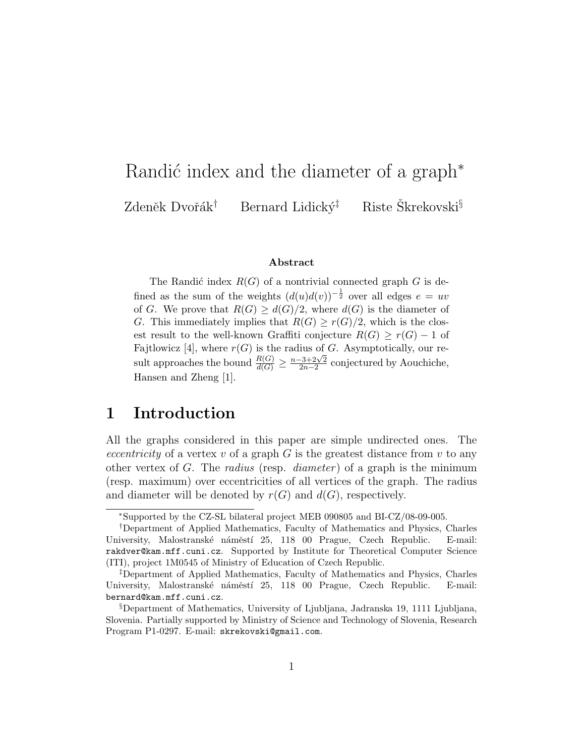# Randić index and the diameter of a graph<sup>\*</sup> Zdeněk Dvořák<sup>†</sup> Bernard Lidický<sup>‡</sup> Riste Škrekovski<sup>§</sup>

#### Abstract

The Randić index  $R(G)$  of a nontrivial connected graph G is defined as the sum of the weights  $(d(u)d(v))^{-\frac{1}{2}}$  over all edges  $e = uv$ of G. We prove that  $R(G) \geq d(G)/2$ , where  $d(G)$  is the diameter of G. This immediately implies that  $R(G) \geq r(G)/2$ , which is the closest result to the well-known Graffiti conjecture  $R(G) \geq r(G) - 1$  of Fajtlowicz [4], where  $r(G)$  is the radius of G. Asymptotically, our result approaches the bound  $\frac{R(G)}{d(G)} \geq$ n−3+2<sup>√</sup> 2  $\frac{2+2\sqrt{2}}{2n-2}$  conjectured by Aouchiche, Hansen and Zheng [1].

### 1 Introduction

All the graphs considered in this paper are simple undirected ones. The eccentricity of a vertex v of a graph G is the greatest distance from v to any other vertex of G. The radius (resp. diameter) of a graph is the minimum (resp. maximum) over eccentricities of all vertices of the graph. The radius and diameter will be denoted by  $r(G)$  and  $d(G)$ , respectively.

<sup>∗</sup>Supported by the CZ-SL bilateral project MEB 090805 and BI-CZ/08-09-005.

<sup>†</sup>Department of Applied Mathematics, Faculty of Mathematics and Physics, Charles University, Malostranské náměstí 25, 118 00 Prague, Czech Republic. E-mail: rakdver@kam.mff.cuni.cz. Supported by Institute for Theoretical Computer Science (ITI), project 1M0545 of Ministry of Education of Czech Republic.

<sup>‡</sup>Department of Applied Mathematics, Faculty of Mathematics and Physics, Charles University, Malostranské náměstí 25, 118 00 Prague, Czech Republic. E-mail: bernard@kam.mff.cuni.cz.

<sup>§</sup>Department of Mathematics, University of Ljubljana, Jadranska 19, 1111 Ljubljana, Slovenia. Partially supported by Ministry of Science and Technology of Slovenia, Research Program P1-0297. E-mail: skrekovski@gmail.com.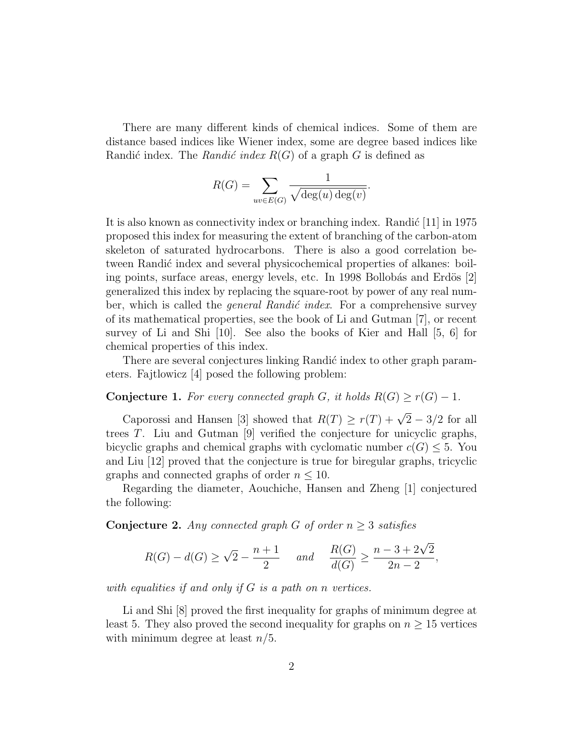There are many different kinds of chemical indices. Some of them are distance based indices like Wiener index, some are degree based indices like Randić index. The Randić index  $R(G)$  of a graph G is defined as

$$
R(G) = \sum_{uv \in E(G)} \frac{1}{\sqrt{\deg(u) \deg(v)}}.
$$

It is also known as connectivity index or branching index. Randic  $[11]$  in 1975 proposed this index for measuring the extent of branching of the carbon-atom skeleton of saturated hydrocarbons. There is also a good correlation between Randić index and several physicochemical properties of alkanes: boiling points, surface areas, energy levels, etc. In 1998 Bollobás and Erdös [2] generalized this index by replacing the square-root by power of any real number, which is called the *general Randić index*. For a comprehensive survey of its mathematical properties, see the book of Li and Gutman [7], or recent survey of Li and Shi [10]. See also the books of Kier and Hall [5, 6] for chemical properties of this index.

There are several conjectures linking Randić index to other graph parameters. Fajtlowicz [4] posed the following problem:

Conjecture 1. For every connected graph G, it holds  $R(G) \ge r(G) - 1$ .

Caporossi and Hansen [3] showed that  $R(T) \ge r(T) + \sqrt{2} - 3/2$  for all trees T. Liu and Gutman [9] verified the conjecture for unicyclic graphs, bicyclic graphs and chemical graphs with cyclomatic number  $c(G) \leq 5$ . You and Liu [12] proved that the conjecture is true for biregular graphs, tricyclic graphs and connected graphs of order  $n \leq 10$ .

Regarding the diameter, Aouchiche, Hansen and Zheng [1] conjectured the following:

**Conjecture 2.** Any connected graph G of order  $n \geq 3$  satisfies

$$
R(G) - d(G) \ge \sqrt{2} - \frac{n+1}{2} \quad \text{and} \quad \frac{R(G)}{d(G)} \ge \frac{n-3+2\sqrt{2}}{2n-2},
$$

with equalities if and only if  $G$  is a path on n vertices.

Li and Shi [8] proved the first inequality for graphs of minimum degree at least 5. They also proved the second inequality for graphs on  $n \geq 15$  vertices with minimum degree at least  $n/5$ .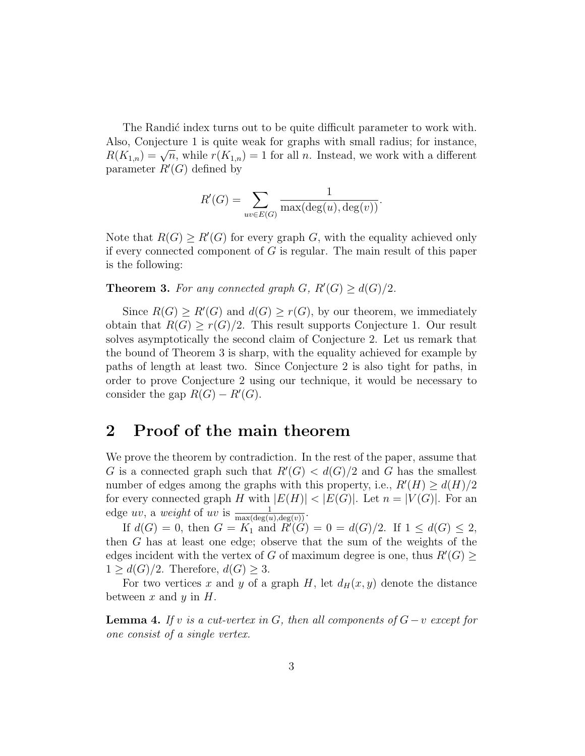The Randic index turns out to be quite difficult parameter to work with. Also, Conjecture 1 is quite weak for graphs with small radius; for instance, Also, Conjecture 1 is quite weak for graphs with small radius, for instance,  $R(K_{1,n}) = \sqrt{n}$ , while  $r(K_{1,n}) = 1$  for all n. Instead, we work with a different parameter  $R'(G)$  defined by

$$
R'(G) = \sum_{uv \in E(G)} \frac{1}{\max(\deg(u), \deg(v))}.
$$

Note that  $R(G) \ge R'(G)$  for every graph G, with the equality achieved only if every connected component of  $G$  is regular. The main result of this paper is the following:

**Theorem 3.** For any connected graph  $G$ ,  $R'(G) \geq d(G)/2$ .

Since  $R(G) \ge R'(G)$  and  $d(G) \ge r(G)$ , by our theorem, we immediately obtain that  $R(G) \geq r(G)/2$ . This result supports Conjecture 1. Our result solves asymptotically the second claim of Conjecture 2. Let us remark that the bound of Theorem 3 is sharp, with the equality achieved for example by paths of length at least two. Since Conjecture 2 is also tight for paths, in order to prove Conjecture 2 using our technique, it would be necessary to consider the gap  $R(G) - R'(G)$ .

#### 2 Proof of the main theorem

We prove the theorem by contradiction. In the rest of the paper, assume that G is a connected graph such that  $R'(G) < d(G)/2$  and G has the smallest number of edges among the graphs with this property, i.e.,  $R'(H) \ge d(H)/2$ for every connected graph H with  $|E(H)| < |E(G)|$ . Let  $n = |V(G)|$ . For an edge uv, a weight of uv is  $\frac{1}{\max(\deg(u), \deg(v))}$ .

If  $d(G) = 0$ , then  $G = K_1$  and  $R'(G) = 0 = d(G)/2$ . If  $1 \leq d(G) \leq 2$ , then G has at least one edge; observe that the sum of the weights of the edges incident with the vertex of G of maximum degree is one, thus  $R'(G) \geq$  $1 \geq d(G)/2$ . Therefore,  $d(G) \geq 3$ .

For two vertices x and y of a graph H, let  $d_H(x, y)$  denote the distance between  $x$  and  $y$  in  $H$ .

**Lemma 4.** If v is a cut-vertex in G, then all components of  $G - v$  except for one consist of a single vertex.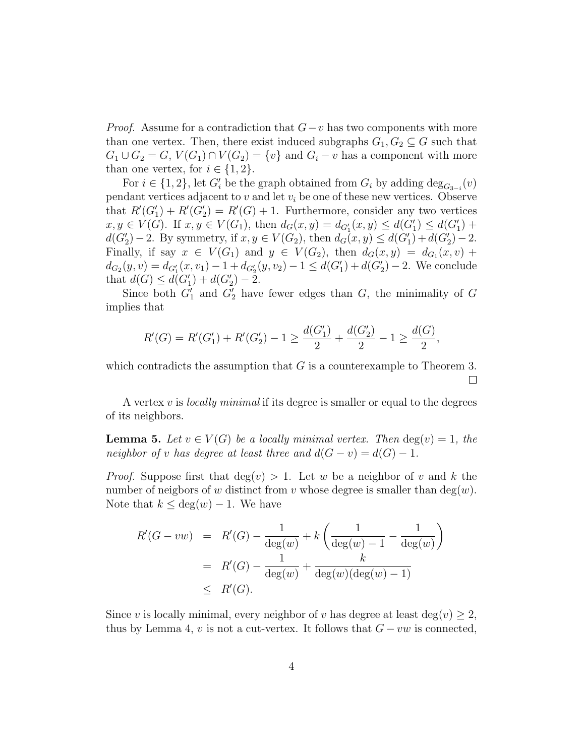*Proof.* Assume for a contradiction that  $G-v$  has two components with more than one vertex. Then, there exist induced subgraphs  $G_1, G_2 \subseteq G$  such that  $G_1 \cup G_2 = G$ ,  $V(G_1) \cap V(G_2) = \{v\}$  and  $G_i - v$  has a component with more than one vertex, for  $i \in \{1,2\}$ .

For  $i \in \{1, 2\}$ , let  $G_i'$  be the graph obtained from  $G_i$  by adding  $\deg_{G_{3-i}}(v)$ pendant vertices adjacent to  $v$  and let  $v_i$  be one of these new vertices. Observe that  $R'(G'_1) + R'(G'_2) = R'(G) + 1$ . Furthermore, consider any two vertices  $x, y \in V(G)$ . If  $x, y \in V(G_1)$ , then  $d_G(x, y) = d_{G'_1}(x, y) \leq d(G'_1) \leq d(G'_1) + d(G'_2)$  $d(G'_2) - 2$ . By symmetry, if  $x, y \in V(G_2)$ , then  $d_G(x, y) \leq d(G'_1) + d(G'_2) - 2$ . Finally, if say  $x \in V(G_1)$  and  $y \in V(G_2)$ , then  $d_G(x,y) = d_{G_1}(x,y) + d_{G_2}(x,y)$  $d_{G_2}(y, v) = d_{G'_1}(x, v_1) - 1 + d_{G'_2}(y, v_2) - 1 \leq d(G'_1) + d(G'_2) - 2$ . We conclude that  $d(G) \leq d(G'_1) + d(G'_2) - 2$ .

Since both  $G'_1$  and  $G'_2$  have fewer edges than G, the minimality of G implies that

$$
R'(G) = R'(G'_1) + R'(G'_2) - 1 \ge \frac{d(G'_1)}{2} + \frac{d(G'_2)}{2} - 1 \ge \frac{d(G)}{2},
$$

which contradicts the assumption that  $G$  is a counterexample to Theorem 3.  $\Box$ 

A vertex v is *locally minimal* if its degree is smaller or equal to the degrees of its neighbors.

**Lemma 5.** Let  $v \in V(G)$  be a locally minimal vertex. Then  $\deg(v) = 1$ , the neighbor of v has degree at least three and  $d(G - v) = d(G) - 1$ .

*Proof.* Suppose first that  $deg(v) > 1$ . Let w be a neighbor of v and k the number of neigbors of w distinct from v whose degree is smaller than  $deg(w)$ . Note that  $k \leq deg(w) - 1$ . We have

$$
R'(G - vw) = R'(G) - \frac{1}{\deg(w)} + k \left( \frac{1}{\deg(w) - 1} - \frac{1}{\deg(w)} \right)
$$
  
=  $R'(G) - \frac{1}{\deg(w)} + \frac{k}{\deg(w)(\deg(w) - 1)}$   
 $\leq R'(G).$ 

Since v is locally minimal, every neighbor of v has degree at least deg(v)  $\geq 2$ , thus by Lemma 4, v is not a cut-vertex. It follows that  $G - vw$  is connected,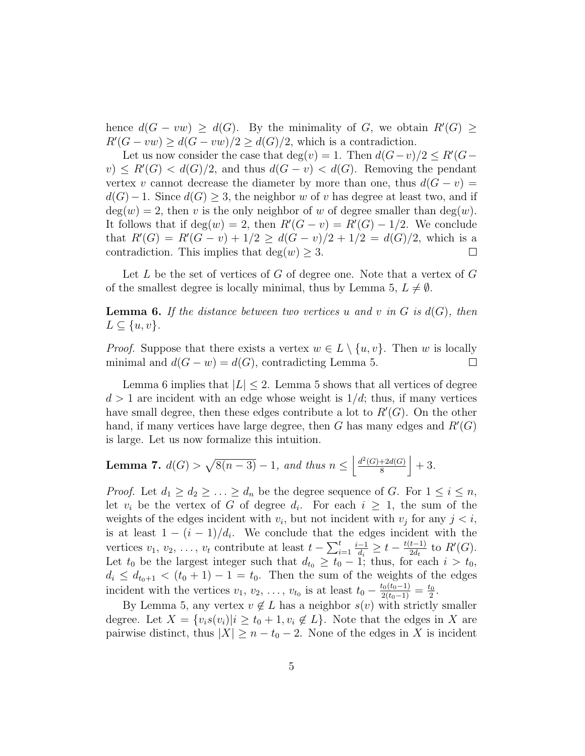hence  $d(G - vw) \geq d(G)$ . By the minimality of G, we obtain  $R'(G) \geq$  $R'(G - vw) \geq d(G - vw)/2 \geq d(G)/2$ , which is a contradiction.

Let us now consider the case that  $deg(v) = 1$ . Then  $d(G - v)/2 \le R'(G - v)$  $(v) \le R'(G) < d(G)/2$ , and thus  $d(G - v) < d(G)$ . Removing the pendant vertex v cannot decrease the diameter by more than one, thus  $d(G - v) =$  $d(G)-1$ . Since  $d(G) \geq 3$ , the neighbor w of v has degree at least two, and if  $deg(w) = 2$ , then v is the only neighbor of w of degree smaller than  $deg(w)$ . It follows that if  $deg(w) = 2$ , then  $R'(G - v) = R'(G) - 1/2$ . We conclude that  $R'(G) = R'(G - v) + 1/2 \geq d(G - v)/2 + 1/2 = d(G)/2$ , which is a contradiction. This implies that  $deg(w) \geq 3$ .  $\Box$ 

Let  $L$  be the set of vertices of  $G$  of degree one. Note that a vertex of  $G$ of the smallest degree is locally minimal, thus by Lemma 5,  $L \neq \emptyset$ .

**Lemma 6.** If the distance between two vertices u and v in G is  $d(G)$ , then  $L \subseteq \{u, v\}.$ 

*Proof.* Suppose that there exists a vertex  $w \in L \setminus \{u, v\}$ . Then w is locally minimal and  $d(G - w) = d(G)$ , contradicting Lemma 5.  $\Box$ 

Lemma 6 implies that  $|L| < 2$ . Lemma 5 shows that all vertices of degree  $d > 1$  are incident with an edge whose weight is  $1/d$ ; thus, if many vertices have small degree, then these edges contribute a lot to  $R'(G)$ . On the other hand, if many vertices have large degree, then  $G$  has many edges and  $R'(G)$ is large. Let us now formalize this intuition.

**Lemma 7.** 
$$
d(G) > \sqrt{8(n-3)} - 1
$$
, and thus  $n \leq \left\lfloor \frac{d^2(G) + 2d(G)}{8} \right\rfloor + 3$ .

*Proof.* Let  $d_1 \geq d_2 \geq \ldots \geq d_n$  be the degree sequence of G. For  $1 \leq i \leq n$ , let  $v_i$  be the vertex of G of degree  $d_i$ . For each  $i \geq 1$ , the sum of the weights of the edges incident with  $v_i$ , but not incident with  $v_j$  for any  $j < i$ , is at least  $1 - (i - 1)/d_i$ . We conclude that the edges incident with the vertices  $v_1, v_2, \ldots, v_t$  contribute at least  $t - \sum_{i=1}^t$  $i-1$  $\frac{-1}{d_i} \geq t - \frac{t(t-1)}{2d_t}$  $\frac{t-1}{2d_t}$  to  $R'(G)$ . Let  $t_0$  be the largest integer such that  $d_{t_0} \geq t_0 - 1$ ; thus, for each  $i > t_0$ ,  $d_i \leq d_{t_0+1} < (t_0+1)-1 = t_0$ . Then the sum of the weights of the edges incident with the vertices  $v_1, v_2, \ldots, v_{t_0}$  is at least  $t_0 - \frac{t_0(t_0-1)}{2(t_0-1)} = \frac{t_0}{2}$  $\frac{t_0}{2}$ .

By Lemma 5, any vertex  $v \notin L$  has a neighbor  $s(v)$  with strictly smaller degree. Let  $X = \{v_i s(v_i) | i \ge t_0 + 1, v_i \notin L\}$ . Note that the edges in X are pairwise distinct, thus  $|X| \geq n - t_0 - 2$ . None of the edges in X is incident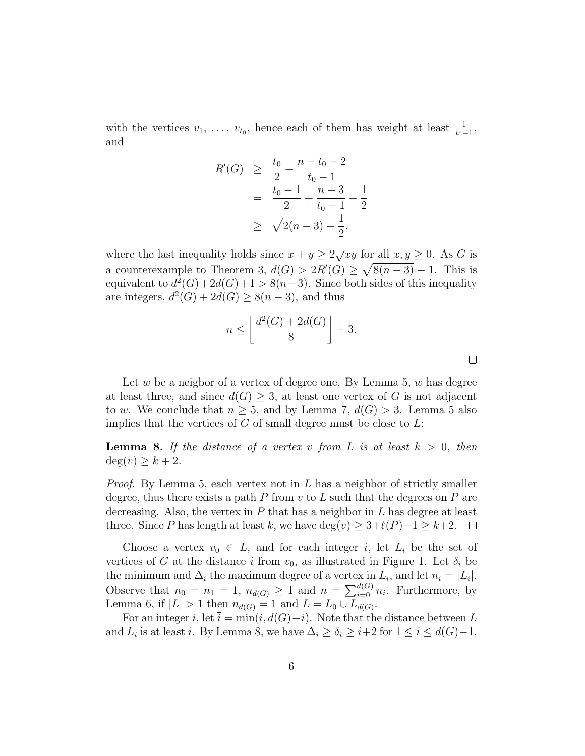with the vertices  $v_1, \ldots, v_{t_0}$ , hence each of them has weight at least  $\frac{1}{t_0-1}$ , and

$$
R'(G) \geq \frac{t_0}{2} + \frac{n - t_0 - 2}{t_0 - 1}
$$
  
= 
$$
\frac{t_0 - 1}{2} + \frac{n - 3}{t_0 - 1} - \frac{1}{2}
$$
  

$$
\geq \sqrt{2(n - 3)} - \frac{1}{2},
$$

where the last inequality holds since  $x + y \geq 2\sqrt{xy}$  for all  $x, y \geq 0$ . As G is a counterexample to Theorem 3,  $d(G) > 2R'(G) \geq \sqrt{8(n-3)} - 1$ . This is equivalent to  $d^2(G) + 2d(G) + 1 > 8(n-3)$ . Since both sides of this inequality are integers,  $d^2(G) + 2d(G) \geq 8(n-3)$ , and thus

$$
n \le \left\lfloor \frac{d^2(G) + 2d(G)}{8} \right\rfloor + 3.
$$

Let w be a neigbor of a vertex of degree one. By Lemma 5,  $w$  has degree at least three, and since  $d(G) \geq 3$ , at least one vertex of G is not adjacent to w. We conclude that  $n \geq 5$ , and by Lemma 7,  $d(G) > 3$ . Lemma 5 also implies that the vertices of  $G$  of small degree must be close to  $L$ :

**Lemma 8.** If the distance of a vertex v from L is at least  $k > 0$ , then  $deg(v) \geq k+2$ .

*Proof.* By Lemma 5, each vertex not in  $L$  has a neighbor of strictly smaller degree, thus there exists a path P from  $v$  to L such that the degrees on P are decreasing. Also, the vertex in  $P$  that has a neighbor in  $L$  has degree at least three. Since P has length at least k, we have deg(v)  $\geq 3+\ell(P)-1 \geq k+2$ . □

Choose a vertex  $v_0 \in L$ , and for each integer i, let  $L_i$  be the set of vertices of G at the distance i from  $v_0$ , as illustrated in Figure 1. Let  $\delta_i$  be the minimum and  $\Delta_i$  the maximum degree of a vertex in  $L_i$ , and let  $n_i = |L_i|$ . Observe that  $n_0 = n_1 = 1$ ,  $n_{d(G)} \geq 1$  and  $n = \sum_{i=0}^{d(G)} n_i$ . Furthermore, by Lemma 6, if  $|L| > 1$  then  $n_{d(G)} = 1$  and  $L = L_0 \cup L_{d(G)}$ .

For an integer i, let  $\overline{i} = \min(i, d(G)-i)$ . Note that the distance between L and  $L_i$  is at least  $\overline{i}$ . By Lemma 8, we have  $\Delta_i \ge \delta_i \ge \overline{i}+2$  for  $1 \le i \le d(G)-1$ .

 $\Box$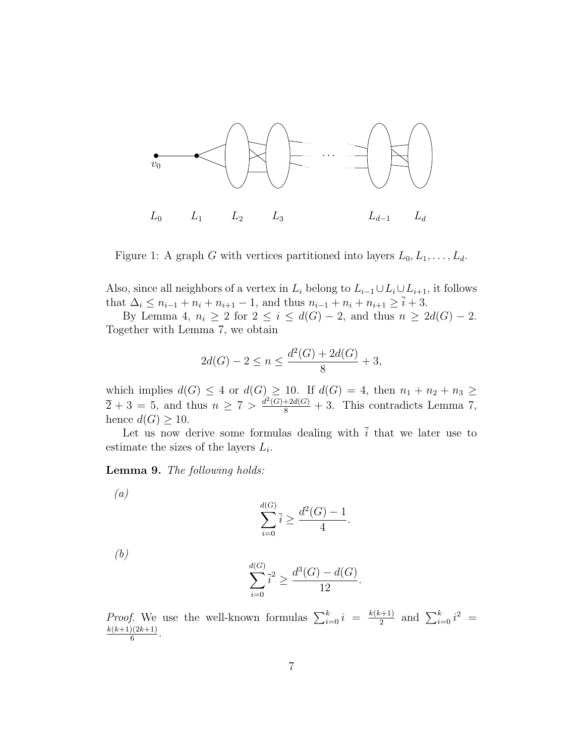

Figure 1: A graph G with vertices partitioned into layers  $L_0, L_1, \ldots, L_d$ .

Also, since all neighbors of a vertex in  $L_i$  belong to  $L_{i-1} \cup L_i \cup L_{i+1}$ , it follows that  $\Delta_i \leq n_{i-1} + n_i + n_{i+1} - 1$ , and thus  $n_{i-1} + n_i + n_{i+1} \geq \overline{i} + 3$ .

By Lemma 4,  $n_i \geq 2$  for  $2 \leq i \leq d(G) - 2$ , and thus  $n \geq 2d(G) - 2$ . Together with Lemma 7, we obtain

$$
2d(G) - 2 \le n \le \frac{d^2(G) + 2d(G)}{8} + 3,
$$

which implies  $d(G) \leq 4$  or  $d(G) \geq 10$ . If  $d(G) = 4$ , then  $n_1 + n_2 + n_3 \geq 1$  $\overline{2}+3=5$ , and thus  $n \geq 7 > \frac{d^2(G)+2d(G)}{8}+3$ . This contradicts Lemma 7, hence  $d(G) \geq 10$ .

Let us now derive some formulas dealing with  $\overline{i}$  that we later use to estimate the sizes of the layers  $L_i$ .

Lemma 9. The following holds:

$$
\sum_{i=0}^{d(G)} \bar{i} \ge \frac{d^2(G) - 1}{4}.
$$

(b)

(a)

$$
\sum_{i=0}^{d(G)} \bar{i}^2 \ge \frac{d^3(G) - d(G)}{12}.
$$

*Proof.* We use the well-known formulas  $\sum_{i=0}^{k} i = \frac{k(k+1)}{2}$  $\frac{(-1)^{i+1}}{2}$  and  $\sum_{i=0}^{k} i^2 =$  $k(k+1)(2k+1)$  $\frac{1}{6}$ .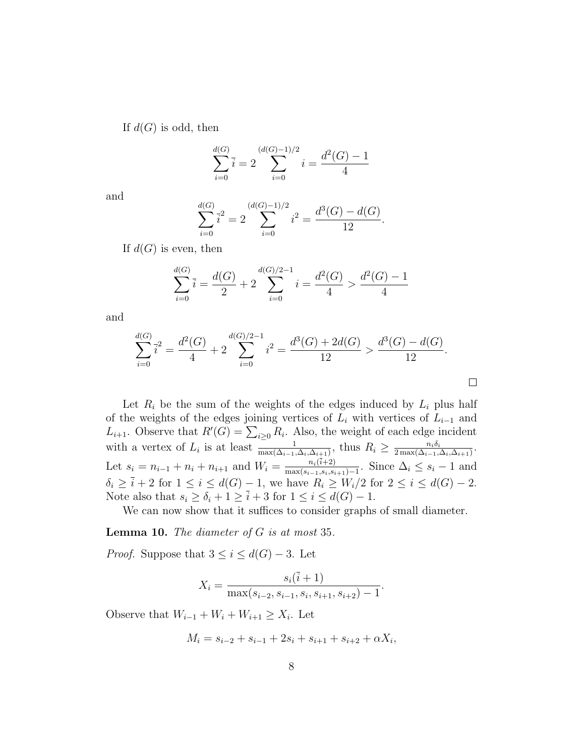If  $d(G)$  is odd, then

$$
\sum_{i=0}^{d(G)} \overline{i} = 2 \sum_{i=0}^{(d(G)-1)/2} i = \frac{d^2(G)-1}{4}
$$

and

$$
\sum_{i=0}^{d(G)} \bar{i}^2 = 2 \sum_{i=0}^{(d(G)-1)/2} i^2 = \frac{d^3(G) - d(G)}{12}.
$$

If  $d(G)$  is even, then

$$
\sum_{i=0}^{d(G)} \overline{i} = \frac{d(G)}{2} + 2\sum_{i=0}^{d(G)/2 - 1} i = \frac{d^2(G)}{4} > \frac{d^2(G) - 1}{4}
$$

and

$$
\sum_{i=0}^{d(G)} \overline{i}^2 = \frac{d^2(G)}{4} + 2 \sum_{i=0}^{d(G)/2-1} i^2 = \frac{d^3(G) + 2d(G)}{12} > \frac{d^3(G) - d(G)}{12}.
$$

Let  $R_i$  be the sum of the weights of the edges induced by  $L_i$  plus half of the weights of the edges joining vertices of  $L_i$  with vertices of  $L_{i-1}$  and  $L_{i+1}$ . Observe that  $R'(G) = \sum_{i \geq 0} R_i$ . Also, the weight of each edge incident with a vertex of  $L_i$  is at least  $\frac{1}{\max(\Delta_{i-1}, \Delta_i, \Delta_{i+1})}$ , thus  $R_i \geq \frac{n_i \delta_i}{2 \max(\Delta_{i-1}, \Delta_i, \Delta_{i+1})}$  $\frac{n_i\delta_i}{2\max(\Delta_{i-1},\Delta_i,\Delta_{i+1})}$ . Let  $s_i = n_{i-1} + n_i + n_{i+1}$  and  $W_i = \frac{n_i(i+2)}{\max(s_{i-1}, s_i, s_i)}$  $\frac{n_i(i+2)}{\max(s_{i-1},s_i,s_{i+1})-1}$ . Since  $\Delta_i \leq s_i-1$  and  $\delta_i \geq \overline{i} + 2$  for  $1 \leq i \leq d(G) - 1$ , we have  $R_i \geq W_i/2$  for  $2 \leq i \leq d(G) - 2$ . Note also that  $s_i \geq \delta_i + 1 \geq \overline{i} + 3$  for  $1 \leq i \leq d(G) - 1$ .

We can now show that it suffices to consider graphs of small diameter.

**Lemma 10.** The diameter of  $G$  is at most 35.

*Proof.* Suppose that  $3 \leq i \leq d(G) - 3$ . Let

$$
X_i = \frac{s_i(\overline{i} + 1)}{\max(s_{i-2}, s_{i-1}, s_i, s_{i+1}, s_{i+2}) - 1}.
$$

Observe that  $W_{i-1} + W_i + W_{i+1} \geq X_i$ . Let

$$
M_i = s_{i-2} + s_{i-1} + 2s_i + s_{i+1} + s_{i+2} + \alpha X_i,
$$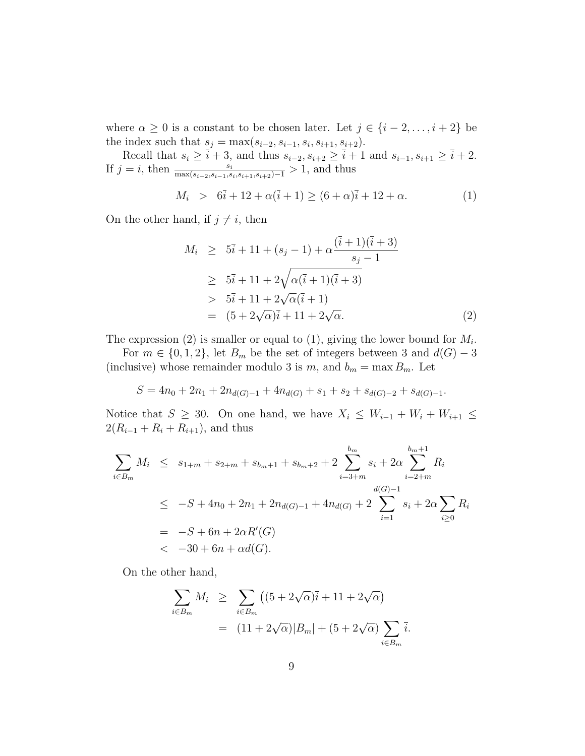where  $\alpha \geq 0$  is a constant to be chosen later. Let  $j \in \{i-2,\ldots,i+2\}$  be the index such that  $s_j = \max(s_{i-2}, s_{i-1}, s_i, s_{i+1}, s_{i+2}).$ 

Recall that  $s_i \geq \bar{i} + 3$ , and thus  $s_{i-2}, s_{i+2} \geq \bar{i} + 1$  and  $s_{i-1}, s_{i+1} \geq \bar{i} + 2$ . If  $j = i$ , then  $\frac{s_i}{\max(s_{i-2}, s_{i-1}, s_i, s_{i+1}, s_{i+2})-1} > 1$ , and thus  $M_i > 6\bar{i} + 12 + \alpha(\bar{i} + 1) > (6 + \alpha)\bar{i} + 12 + \alpha.$  (1)

On the other hand, if  $j \neq i$ , then

$$
M_i \geq 5\overline{i} + 11 + (s_j - 1) + \alpha \frac{(\overline{i} + 1)(\overline{i} + 3)}{s_j - 1}
$$
  
\n
$$
\geq 5\overline{i} + 11 + 2\sqrt{\alpha(\overline{i} + 1)(\overline{i} + 3)}
$$
  
\n
$$
> 5\overline{i} + 11 + 2\sqrt{\alpha}(\overline{i} + 1)
$$
  
\n
$$
= (5 + 2\sqrt{\alpha})\overline{i} + 11 + 2\sqrt{\alpha}.
$$
 (2)

The expression (2) is smaller or equal to (1), giving the lower bound for  $M_i$ .

For  $m \in \{0, 1, 2\}$ , let  $B_m$  be the set of integers between 3 and  $d(G) - 3$ (inclusive) whose remainder modulo 3 is m, and  $b_m = \max B_m$ . Let

$$
S = 4n_0 + 2n_1 + 2n_{d(G)-1} + 4n_{d(G)} + s_1 + s_2 + s_{d(G)-2} + s_{d(G)-1}.
$$

Notice that  $S \geq 30$ . On one hand, we have  $X_i \leq W_{i-1} + W_i + W_{i+1} \leq$  $2(R_{i-1} + R_i + R_{i+1}),$  and thus

$$
\sum_{i \in B_m} M_i \leq s_{1+m} + s_{2+m} + s_{b_m+1} + s_{b_m+2} + 2 \sum_{i=3+m}^{b_m} s_i + 2\alpha \sum_{i=2+m}^{b_m+1} R_i
$$
\n
$$
\leq -S + 4n_0 + 2n_1 + 2n_{d(G)-1} + 4n_{d(G)} + 2 \sum_{i=1}^{d(G)-1} s_i + 2\alpha \sum_{i\geq 0} R_i
$$
\n
$$
= -S + 6n + 2\alpha R'(G)
$$
\n
$$
< -30 + 6n + \alpha d(G).
$$

On the other hand,

$$
\sum_{i \in B_m} M_i \geq \sum_{i \in B_m} \left( (5 + 2\sqrt{\alpha})\overline{i} + 11 + 2\sqrt{\alpha} \right)
$$
  
= 
$$
(11 + 2\sqrt{\alpha})|B_m| + (5 + 2\sqrt{\alpha}) \sum_{i \in B_m} \overline{i}.
$$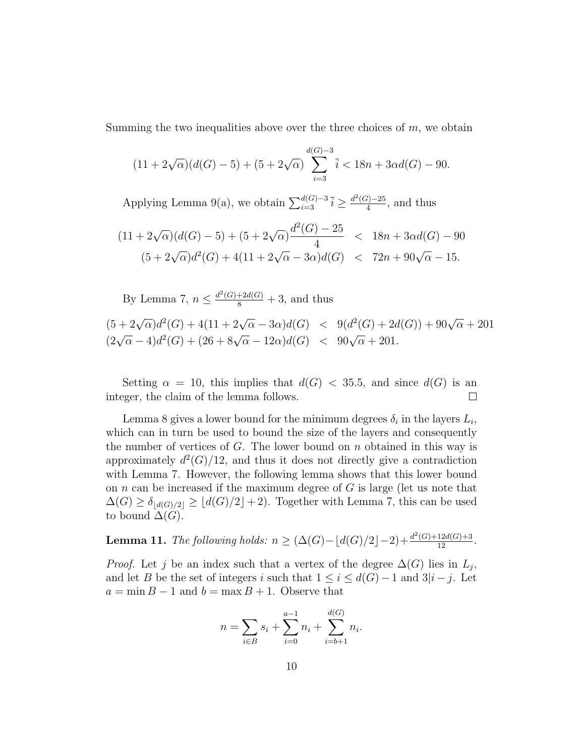Summing the two inequalities above over the three choices of  $m$ , we obtain

$$
(11 + 2\sqrt{\alpha})(d(G) - 5) + (5 + 2\sqrt{\alpha})\sum_{i=3}^{d(G)-3} \overline{i} < 18n + 3\alpha d(G) - 90.
$$

Applying Lemma 9(a), we obtain  $\sum_{i=3}^{d(G)-3} \overline{i} \geq \frac{d^2(G)-25}{4}$  $\frac{(-25)}{4}$ , and thus

$$
(11 + 2\sqrt{\alpha})(d(G) - 5) + (5 + 2\sqrt{\alpha})\frac{d^{2}(G) - 25}{4} < 18n + 3\alpha d(G) - 90
$$
  

$$
(5 + 2\sqrt{\alpha})d^{2}(G) + 4(11 + 2\sqrt{\alpha} - 3\alpha)d(G) < 72n + 90\sqrt{\alpha} - 15.
$$

By Lemma 7,  $n \leq \frac{d^2(G) + 2d(G)}{8} + 3$ , and thus

 $(5+2\sqrt{\alpha})d^2(G) + 4(11+2\sqrt{\alpha}-3\alpha)d(G) < 9(d^2(G)+2d(G)) + 90\sqrt{\alpha} + 201$  $(2\sqrt{\alpha} - 4)d^2(G) + (26 + 8\sqrt{\alpha} - 12\alpha)d(G) < 90\sqrt{\alpha} + 201.$ 

Setting  $\alpha = 10$ , this implies that  $d(G) < 35.5$ , and since  $d(G)$  is an integer, the claim of the lemma follows.  $\Box$ 

Lemma 8 gives a lower bound for the minimum degrees  $\delta_i$  in the layers  $L_i$ , which can in turn be used to bound the size of the layers and consequently the number of vertices of  $G$ . The lower bound on  $n$  obtained in this way is approximately  $d^2(G)/12$ , and thus it does not directly give a contradiction with Lemma 7. However, the following lemma shows that this lower bound on  $n$  can be increased if the maximum degree of  $G$  is large (let us note that  $\Delta(G) \geq \delta_{\lfloor d(G)/2 \rfloor} \geq \lfloor d(G)/2 \rfloor + 2$ . Together with Lemma 7, this can be used to bound  $\Delta(G)$ .

**Lemma 11.** The following holds:  $n \geq (\Delta(G) - \lfloor d(G)/2 \rfloor - 2) + \frac{d^2(G) + 12d(G) + 3}{12}$ .

*Proof.* Let j be an index such that a vertex of the degree  $\Delta(G)$  lies in  $L_j$ , and let B be the set of integers i such that  $1 \leq i \leq d(G) - 1$  and  $3|i - j$ . Let  $a = \min B - 1$  and  $b = \max B + 1$ . Observe that

$$
n = \sum_{i \in B} s_i + \sum_{i=0}^{a-1} n_i + \sum_{i=b+1}^{d(G)} n_i.
$$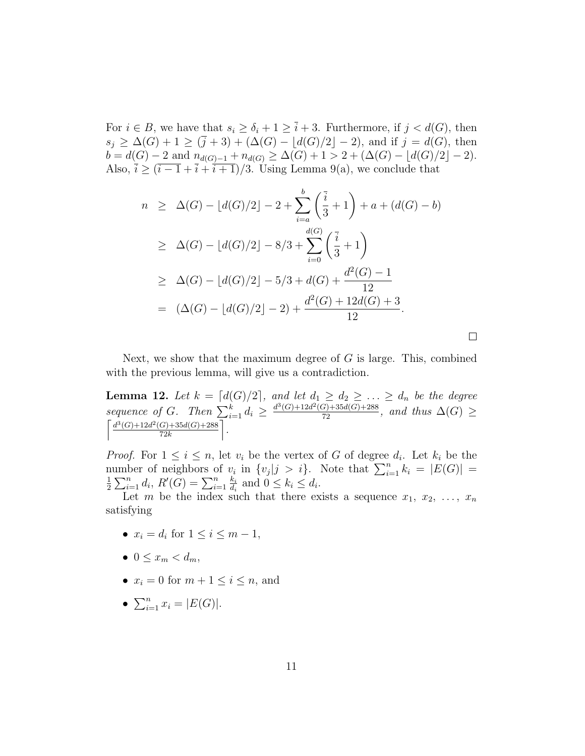For  $i \in B$ , we have that  $s_i \ge \delta_i + 1 \ge \overline{i} + 3$ . Furthermore, if  $j < d(G)$ , then  $s_j \geq \Delta(G) + 1 \geq (\bar{j} + 3) + (\Delta(G) - \lfloor d(G)/2 \rfloor - 2)$ , and if  $j = d(G)$ , then  $b = d(G) - 2$  and  $n_{d(G)-1} + n_{d(G)} \geq \Delta(G) + 1 > 2 + (\Delta(G) - \lfloor d(G)/2 \rfloor - 2).$ Also,  $\bar{i} \geq (\bar{i} - 1 + \bar{i} + \bar{i} + 1)/3$ . Using Lemma 9(a), we conclude that

$$
n \geq \Delta(G) - \lfloor d(G)/2 \rfloor - 2 + \sum_{i=a}^{b} \left(\frac{\overline{i}}{3} + 1\right) + a + (d(G) - b)
$$
  
\n
$$
\geq \Delta(G) - \lfloor d(G)/2 \rfloor - 8/3 + \sum_{i=0}^{d(G)} \left(\frac{\overline{i}}{3} + 1\right)
$$
  
\n
$$
\geq \Delta(G) - \lfloor d(G)/2 \rfloor - 5/3 + d(G) + \frac{d^2(G) - 1}{12}
$$
  
\n
$$
= (\Delta(G) - \lfloor d(G)/2 \rfloor - 2) + \frac{d^2(G) + 12d(G) + 3}{12}.
$$

 $\Box$ 

Next, we show that the maximum degree of  $G$  is large. This, combined with the previous lemma, will give us a contradiction.

**Lemma 12.** Let  $k = [d(G)/2]$ , and let  $d_1 \geq d_2 \geq \ldots \geq d_n$  be the degree sequence of G. Then  $\sum_{i=1}^{k} d_i \geq \frac{d^3(G)+12d^2(G)+35d(G)+288}{72}$ , and thus  $\Delta(G) \geq$  $\int d^3(G) + 12d^2(G) + 35d(G) + 288$  $rac{G)+35d(G)+288}{72k}$ .

*Proof.* For  $1 \leq i \leq n$ , let  $v_i$  be the vertex of G of degree  $d_i$ . Let  $k_i$  be the number of neighbors of  $v_i$  in  $\{v_j | j > i\}$ . Note that  $\sum_{i=1}^n k_i = |E(G)| =$ <br> $\frac{1}{2} \sum_{i=1}^n d_i P(C) - \sum_{i=1}^n k_i$  and  $0 \le k \le d$  $\frac{1}{2} \sum_{i=1}^{n} d_i, R'(G) = \sum_{i=1}^{n} \frac{k_i}{d_i}$  $\frac{k_i}{d_i}$  and  $0 \leq k_i \leq d_i$ .

Let m be the index such that there exists a sequence  $x_1, x_2, \ldots, x_n$ satisfying

- $x_i = d_i$  for  $1 \leq i \leq m-1$ ,
- $0 \leq x_m \leq d_m$
- $x_i = 0$  for  $m + 1 \leq i \leq n$ , and
- $\sum_{i=1}^n x_i = |E(G)|$ .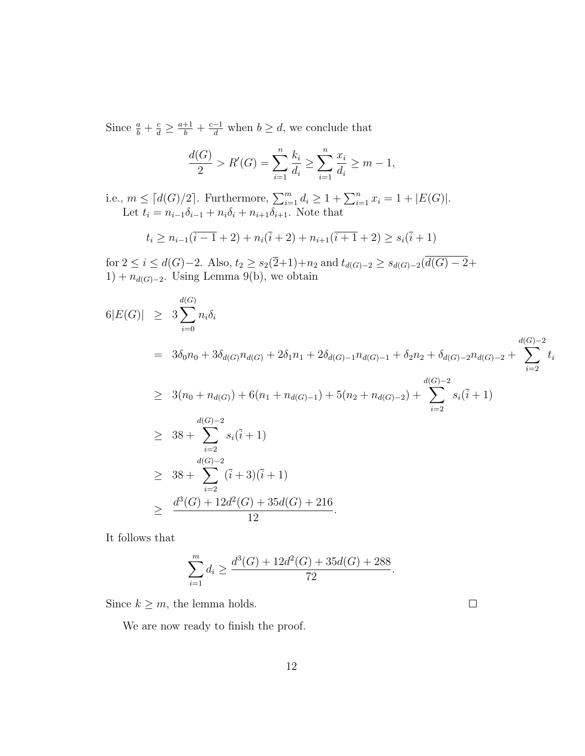Since  $\frac{a}{b} + \frac{c}{d} \ge \frac{a+1}{b} + \frac{c-1}{d}$  when  $b \ge d$ , we conclude that

$$
\frac{d(G)}{2} > R'(G) = \sum_{i=1}^{n} \frac{k_i}{d_i} \ge \sum_{i=1}^{n} \frac{x_i}{d_i} \ge m - 1,
$$

i.e.,  $m \leq [d(G)/2]$ . Furthermore,  $\sum_{i=1}^{m} d_i \geq 1 + \sum_{i=1}^{n} x_i = 1 + |E(G)|$ . Let  $t_i = n_{i-1}\delta_{i-1} + n_i\delta_i + n_{i+1}\delta_{i+1}$ . Note that

$$
t_i \ge n_{i-1}(\overline{i-1}+2) + n_i(\overline{i}+2) + n_{i+1}(\overline{i+1}+2) \ge s_i(\overline{i}+1)
$$

for  $2 \le i \le d(G)-2$ . Also,  $t_2 \ge s_2(\overline{2}+1)+n_2$  and  $t_{d(G)-2} \ge s_{d(G)-2}(d(G)-2+1)$  $1) + n_{d(G)-2}$ . Using Lemma 9(b), we obtain

$$
6|E(G)| \geq 3\sum_{i=0}^{d(G)} n_i \delta_i
$$
\n
$$
= 3\delta_0 n_0 + 3\delta_{d(G)} n_{d(G)} + 2\delta_1 n_1 + 2\delta_{d(G)-1} n_{d(G)-1} + \delta_2 n_2 + \delta_{d(G)-2} n_{d(G)-2} + \sum_{i=2}^{d(G)-2} t_i
$$
\n
$$
\geq 3(n_0 + n_{d(G)}) + 6(n_1 + n_{d(G)-1}) + 5(n_2 + n_{d(G)-2}) + \sum_{i=2}^{d(G)-2} s_i(\overline{i} + 1)
$$
\n
$$
\geq 38 + \sum_{i=2}^{d(G)-2} s_i(\overline{i} + 1)
$$
\n
$$
\geq 38 + \sum_{i=2}^{d(G)-2} (\overline{i} + 3)(\overline{i} + 1)
$$
\n
$$
\geq \frac{d^3(G) + 12d^2(G) + 35d(G) + 216}{12}.
$$

It follows that

$$
\sum_{i=1}^{m} d_i \ge \frac{d^3(G) + 12d^2(G) + 35d(G) + 288}{72}.
$$

Since  $k \geq m$ , the lemma holds.

We are now ready to finish the proof.

 $\Box$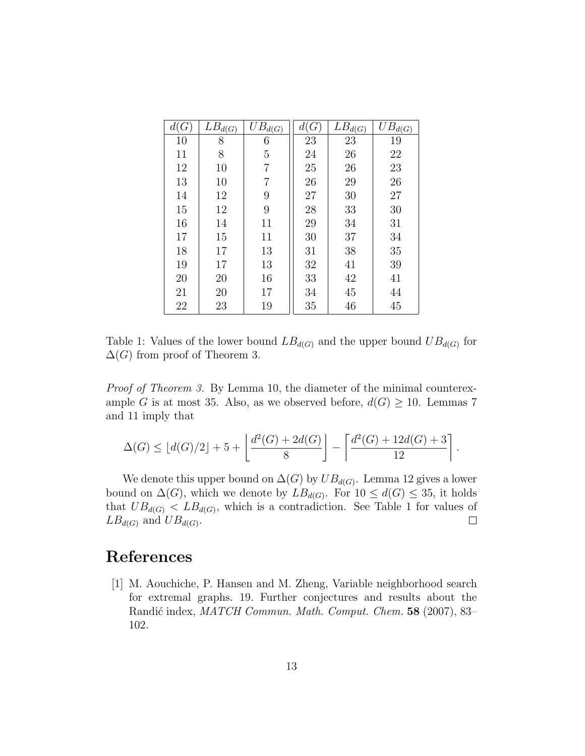| d(G) | $\overline{L}B_{d(G)}$ | $\bar{U}B_{d(\underline{G})}$ | d(G)   | $LB_{d(G)}$ | $UB_{d(G)}$ |
|------|------------------------|-------------------------------|--------|-------------|-------------|
| 10   | 8                      | 6                             | 23     | 23          | 19          |
| 11   | 8                      | 5                             | 24     | 26          | 22          |
| 12   | 10                     | 7                             | 25     | 26          | 23          |
| 13   | 10                     | 7                             | 26     | 29          | $26\,$      |
| 14   | 12                     | 9                             | $27\,$ | 30          | 27          |
| 15   | 12                     | 9                             | 28     | 33          | 30          |
| 16   | 14                     | 11                            | 29     | 34          | 31          |
| 17   | 15                     | 11                            | 30     | 37          | 34          |
| 18   | 17                     | 13                            | 31     | 38          | $35\,$      |
| 19   | 17                     | 13                            | 32     | 41          | 39          |
| 20   | 20                     | 16                            | 33     | 42          | 41          |
| 21   | 20                     | 17                            | 34     | 45          | 44          |
| 22   | 23                     | 19                            | 35     | 46          | 45          |

Table 1: Values of the lower bound  $LB_{d(G)}$  and the upper bound  $UB_{d(G)}$  for  $\Delta(G)$  from proof of Theorem 3.

Proof of Theorem 3. By Lemma 10, the diameter of the minimal counterexample G is at most 35. Also, as we observed before,  $d(G) \geq 10$ . Lemmas 7 and 11 imply that

$$
\Delta(G) \le \lfloor d(G)/2 \rfloor + 5 + \left\lfloor \frac{d^2(G) + 2d(G)}{8} \right\rfloor - \left\lceil \frac{d^2(G) + 12d(G) + 3}{12} \right\rceil
$$

.

We denote this upper bound on  $\Delta(G)$  by  $UB_{d(G)}$ . Lemma 12 gives a lower bound on  $\Delta(G)$ , which we denote by  $LB_{d(G)}$ . For  $10 \leq d(G) \leq 35$ , it holds that  $UB_{d(G)}$  <  $LB_{d(G)}$ , which is a contradiction. See Table 1 for values of  $\Box$  $LB_{d(G)}$  and  $UB_{d(G)}$ .

## References

[1] M. Aouchiche, P. Hansen and M. Zheng, Variable neighborhood search for extremal graphs. 19. Further conjectures and results about the Randić index, MATCH Commun. Math. Comput. Chem. 58 (2007), 83– 102.